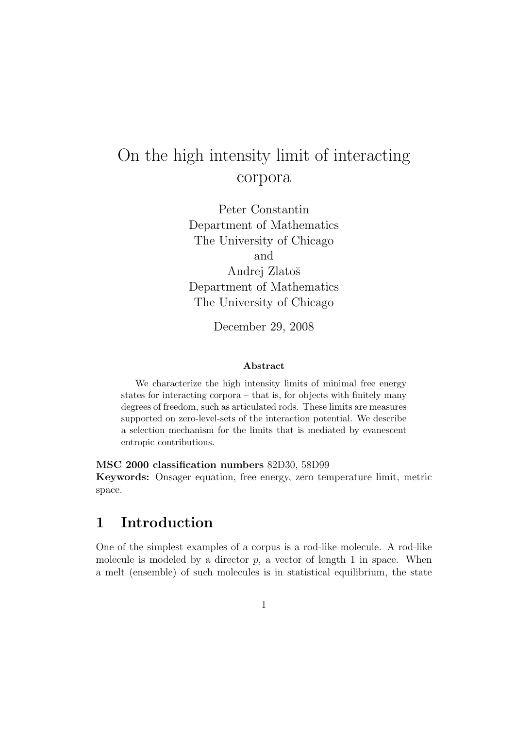# On the high intensity limit of interacting corpora

Peter Constantin Department of Mathematics The University of Chicago and Andrej Zlatoš Department of Mathematics The University of Chicago

December 29, 2008

#### Abstract

We characterize the high intensity limits of minimal free energy states for interacting corpora – that is, for objects with finitely many degrees of freedom, such as articulated rods. These limits are measures supported on zero-level-sets of the interaction potential. We describe a selection mechanism for the limits that is mediated by evanescent entropic contributions.

MSC 2000 classification numbers 82D30, 58D99

Keywords: Onsager equation, free energy, zero temperature limit, metric space.

### 1 Introduction

One of the simplest examples of a corpus is a rod-like molecule. A rod-like molecule is modeled by a director  $p$ , a vector of length 1 in space. When a melt (ensemble) of such molecules is in statistical equilibrium, the state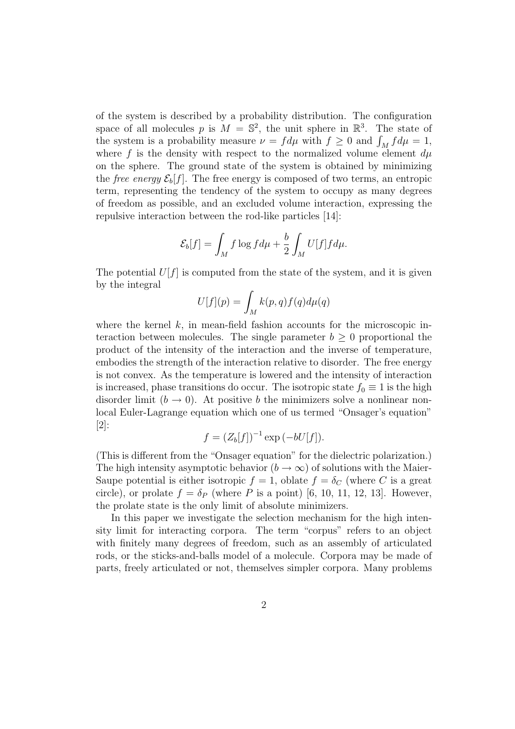of the system is described by a probability distribution. The configuration space of all molecules p is  $M = \mathbb{S}^2$ , the unit sphere in  $\mathbb{R}^3$ . The state of the system is a probability measure  $\nu = f d\mu$  with  $f \geq 0$  and  $\int_M f d\mu = 1$ , where f is the density with respect to the normalized volume element  $d\mu$ on the sphere. The ground state of the system is obtained by minimizing the *free energy*  $\mathcal{E}_b[f]$ . The free energy is composed of two terms, an entropic term, representing the tendency of the system to occupy as many degrees of freedom as possible, and an excluded volume interaction, expressing the repulsive interaction between the rod-like particles [14]:

$$
\mathcal{E}_b[f] = \int_M f \log f d\mu + \frac{b}{2} \int_M U[f] f d\mu.
$$

The potential  $U[f]$  is computed from the state of the system, and it is given by the integral

$$
U[f](p) = \int_M k(p,q)f(q)d\mu(q)
$$

where the kernel  $k$ , in mean-field fashion accounts for the microscopic interaction between molecules. The single parameter  $b \geq 0$  proportional the product of the intensity of the interaction and the inverse of temperature, embodies the strength of the interaction relative to disorder. The free energy is not convex. As the temperature is lowered and the intensity of interaction is increased, phase transitions do occur. The isotropic state  $f_0 \equiv 1$  is the high disorder limit  $(b \to 0)$ . At positive b the minimizers solve a nonlinear nonlocal Euler-Lagrange equation which one of us termed "Onsager's equation" [2]:

$$
f = (Z_b[f])^{-1} \exp(-bU[f]).
$$

(This is different from the "Onsager equation" for the dielectric polarization.) The high intensity asymptotic behavior  $(b \to \infty)$  of solutions with the Maier-Saupe potential is either isotropic  $f = 1$ , oblate  $f = \delta_C$  (where C is a great circle), or prolate  $f = \delta_P$  (where P is a point) [6, 10, 11, 12, 13]. However, the prolate state is the only limit of absolute minimizers.

In this paper we investigate the selection mechanism for the high intensity limit for interacting corpora. The term "corpus" refers to an object with finitely many degrees of freedom, such as an assembly of articulated rods, or the sticks-and-balls model of a molecule. Corpora may be made of parts, freely articulated or not, themselves simpler corpora. Many problems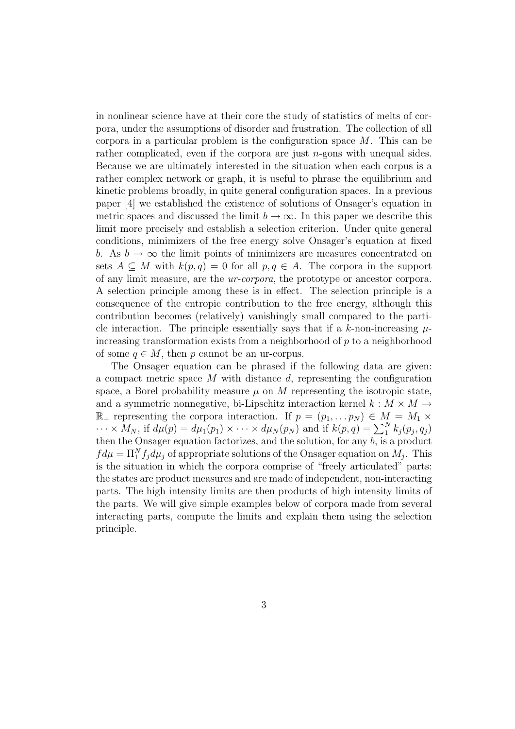in nonlinear science have at their core the study of statistics of melts of corpora, under the assumptions of disorder and frustration. The collection of all corpora in a particular problem is the configuration space  $M$ . This can be rather complicated, even if the corpora are just  $n$ -gons with unequal sides. Because we are ultimately interested in the situation when each corpus is a rather complex network or graph, it is useful to phrase the equilibrium and kinetic problems broadly, in quite general configuration spaces. In a previous paper [4] we established the existence of solutions of Onsager's equation in metric spaces and discussed the limit  $b \to \infty$ . In this paper we describe this limit more precisely and establish a selection criterion. Under quite general conditions, minimizers of the free energy solve Onsager's equation at fixed b. As  $b \to \infty$  the limit points of minimizers are measures concentrated on sets  $A \subseteq M$  with  $k(p,q) = 0$  for all  $p,q \in A$ . The corpora in the support of any limit measure, are the ur-corpora, the prototype or ancestor corpora. A selection principle among these is in effect. The selection principle is a consequence of the entropic contribution to the free energy, although this contribution becomes (relatively) vanishingly small compared to the particle interaction. The principle essentially says that if a k-non-increasing  $\mu$ increasing transformation exists from a neighborhood of  $p$  to a neighborhood of some  $q \in M$ , then p cannot be an ur-corpus.

The Onsager equation can be phrased if the following data are given: a compact metric space  $M$  with distance  $d$ , representing the configuration space, a Borel probability measure  $\mu$  on M representing the isotropic state, and a symmetric nonnegative, bi-Lipschitz interaction kernel  $k : M \times M \rightarrow$  $\mathbb{R}_+$  representing the corpora interaction. If  $p = (p_1, \ldots p_N) \in M = M_1 \times$  $\cdots \times M_N$ , if  $d\mu(p) = d\mu_1(p_1) \times \cdots \times d\mu_N(p_N)$  and if  $k(p, q) = \sum_1^N k_j(p_j, q_j)$ then the Onsager equation factorizes, and the solution, for any  $\overline{b}$ , is a product  $fd\mu = \Pi_1^N f_j d\mu_j$  of appropriate solutions of the Onsager equation on  $M_j$ . This is the situation in which the corpora comprise of "freely articulated" parts: the states are product measures and are made of independent, non-interacting parts. The high intensity limits are then products of high intensity limits of the parts. We will give simple examples below of corpora made from several interacting parts, compute the limits and explain them using the selection principle.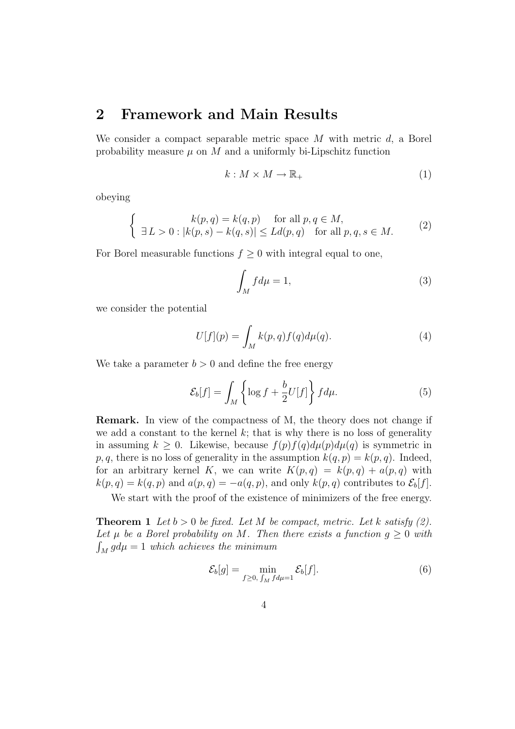### 2 Framework and Main Results

We consider a compact separable metric space  $M$  with metric  $d$ , a Borel probability measure  $\mu$  on M and a uniformly bi-Lipschitz function

$$
k: M \times M \to \mathbb{R}_+ \tag{1}
$$

obeying

$$
\begin{cases}\nk(p,q) = k(q,p) & \text{for all } p,q \in M, \\
\exists L > 0 : |k(p,s) - k(q,s)| \le Ld(p,q) & \text{for all } p,q,s \in M.\n\end{cases}
$$
\n(2)

For Borel measurable functions  $f \geq 0$  with integral equal to one,

$$
\int_{M} f d\mu = 1,\tag{3}
$$

we consider the potential

$$
U[f](p) = \int_M k(p,q)f(q)d\mu(q).
$$
 (4)

We take a parameter  $b > 0$  and define the free energy

$$
\mathcal{E}_b[f] = \int_M \left\{ \log f + \frac{b}{2} U[f] \right\} f d\mu. \tag{5}
$$

Remark. In view of the compactness of M, the theory does not change if we add a constant to the kernel  $k$ ; that is why there is no loss of generality in assuming  $k \geq 0$ . Likewise, because  $f(p)f(q)d\mu(p)d\mu(q)$  is symmetric in  $p, q$ , there is no loss of generality in the assumption  $k(q, p) = k(p, q)$ . Indeed, for an arbitrary kernel K, we can write  $K(p,q) = k(p,q) + a(p,q)$  with  $k(p,q) = k(q,p)$  and  $a(p,q) = -a(q,p)$ , and only  $k(p,q)$  contributes to  $\mathcal{E}_b[f]$ .

We start with the proof of the existence of minimizers of the free energy.

**Theorem 1** Let  $b > 0$  be fixed. Let M be compact, metric. Let k satisfy (2). Let  $\mu$  be a Borel probability on M. Then there exists a function  $g \geq 0$  with  $\int_M g d\mu = 1$  which achieves the minimum

$$
\mathcal{E}_b[g] = \min_{f \ge 0, \int_M f d\mu = 1} \mathcal{E}_b[f]. \tag{6}
$$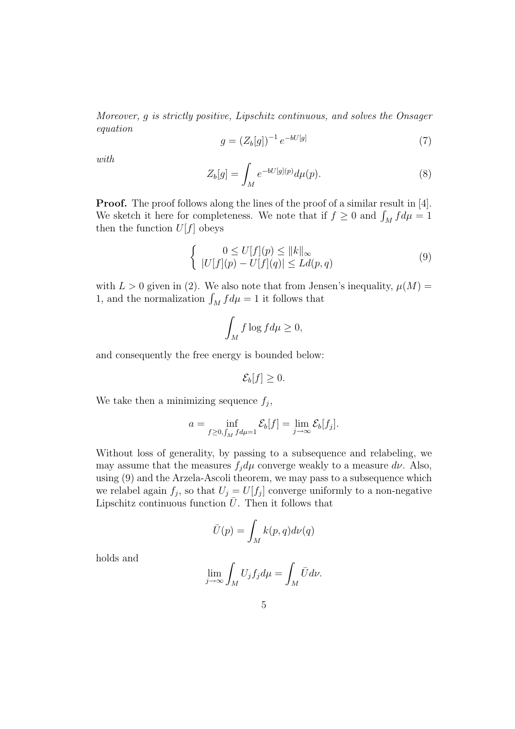Moreover, g is strictly positive, Lipschitz continuous, and solves the Onsager equation

$$
g = (Z_b[g])^{-1} e^{-bU[g]} \tag{7}
$$

with

$$
Z_b[g] = \int_M e^{-bU[g](p)} d\mu(p). \tag{8}
$$

Proof. The proof follows along the lines of the proof of a similar result in [4]. We sketch it here for completeness. We note that if  $f \geq 0$  and  $\int_M f d\mu = 1$ then the function  $U[f]$  obeys

$$
\begin{cases}\n0 \le U[f](p) \le ||k||_{\infty} \\
|U[f](p) - U[f](q)| \le Ld(p, q)\n\end{cases} \tag{9}
$$

with  $L > 0$  given in (2). We also note that from Jensen's inequality,  $\mu(M) =$ 1, and the normalization  $\int_M f d\mu = 1$  it follows that

$$
\int_M f \log f d\mu \ge 0,
$$

and consequently the free energy is bounded below:

 $\mathcal{E}_b[f] \geq 0.$ 

We take then a minimizing sequence  $f_j$ ,

$$
a = \inf_{f \ge 0, \int_M f d\mu = 1} \mathcal{E}_b[f] = \lim_{j \to \infty} \mathcal{E}_b[f_j].
$$

Without loss of generality, by passing to a subsequence and relabeling, we may assume that the measures  $f_j d\mu$  converge weakly to a measure  $d\nu$ . Also, using (9) and the Arzela-Ascoli theorem, we may pass to a subsequence which we relabel again  $f_j$ , so that  $U_j = U[f_j]$  converge uniformly to a non-negative Lipschitz continuous function  $\bar{U}$ . Then it follows that

$$
\bar{U}(p) = \int_M k(p,q)d\nu(q)
$$

holds and

$$
\lim_{j \to \infty} \int_M U_j f_j d\mu = \int_M \bar{U} d\nu.
$$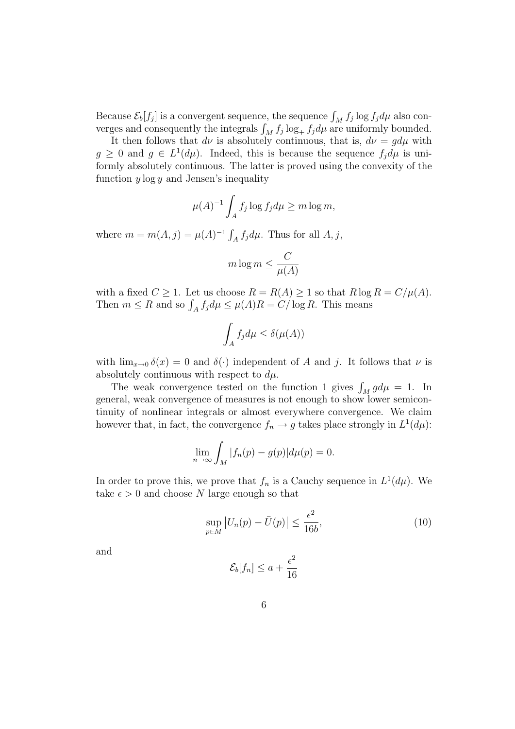Because  $\mathcal{E}_b[f_j]$  is a convergent sequence, the sequence  $\int_M f_j \log f_j d\mu$  also converges and consequently the integrals  $\int_M f_j \log_+ f_j d\mu$  are uniformly bounded.

It then follows that  $d\nu$  is absolutely continuous, that is,  $d\nu = g d\mu$  with  $g \geq 0$  and  $g \in L^1(d\mu)$ . Indeed, this is because the sequence  $f_j d\mu$  is uniformly absolutely continuous. The latter is proved using the convexity of the function  $y \log y$  and Jensen's inequality

$$
\mu(A)^{-1} \int_A f_j \log f_j d\mu \ge m \log m,
$$

where  $m = m(A, j) = \mu(A)^{-1} \int_A f_j d\mu$ . Thus for all  $A, j$ ,

$$
m \log m \le \frac{C}{\mu(A)}
$$

with a fixed  $C \geq 1$ . Let us choose  $R = R(A) \geq 1$  so that  $R \log R = C/\mu(A)$ . Then  $m \leq R$  and so  $\int_A f_j d\mu \leq \mu(A)R = C/\log R$ . This means

$$
\int_A f_j d\mu \le \delta(\mu(A))
$$

with  $\lim_{x\to 0} \delta(x) = 0$  and  $\delta(\cdot)$  independent of A and j. It follows that  $\nu$  is absolutely continuous with respect to  $d\mu$ .

The weak convergence tested on the function 1 gives  $\int_M g d\mu = 1$ . In general, weak convergence of measures is not enough to show lower semicontinuity of nonlinear integrals or almost everywhere convergence. We claim however that, in fact, the convergence  $f_n \to g$  takes place strongly in  $L^1(d\mu)$ :

$$
\lim_{n \to \infty} \int_M |f_n(p) - g(p)| d\mu(p) = 0.
$$

In order to prove this, we prove that  $f_n$  is a Cauchy sequence in  $L^1(d\mu)$ . We take  $\epsilon > 0$  and choose N large enough so that

$$
\sup_{p \in M} |U_n(p) - \bar{U}(p)| \le \frac{\epsilon^2}{16b},\tag{10}
$$

and

$$
\mathcal{E}_b[f_n] \le a + \frac{\epsilon^2}{16}
$$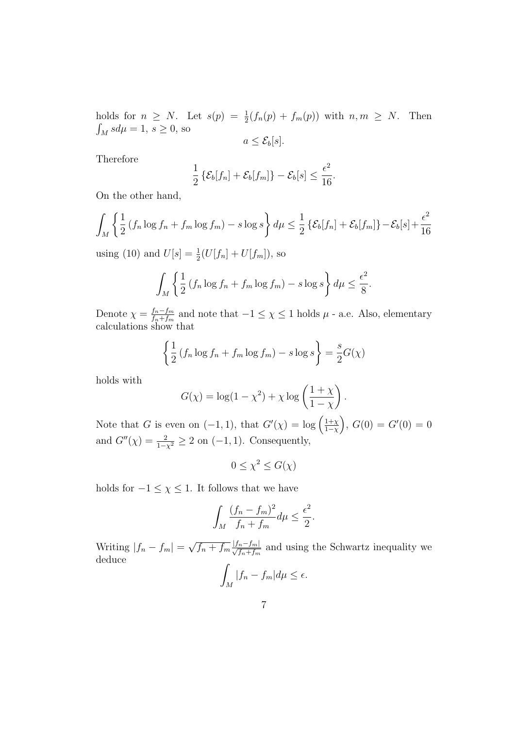holds for  $n \geq N$ . Let  $s(p) = \frac{1}{2}(f_n(p) + f_m(p))$  with  $n, m \geq N$ . Then  $\int_M s d\mu = 1, s \ge 0$ , so  $a \leq \mathcal{E}_b[s]$ .

Therefore

$$
\frac{1}{2}\left\{ \mathcal{E}_b[f_n] + \mathcal{E}_b[f_m] \right\} - \mathcal{E}_b[s] \leq \frac{\epsilon^2}{16}.
$$

On the other hand,

$$
\int_M \left\{ \frac{1}{2} \left( f_n \log f_n + f_m \log f_m \right) - s \log s \right\} d\mu \leq \frac{1}{2} \left\{ \mathcal{E}_b[f_n] + \mathcal{E}_b[f_m] \right\} - \mathcal{E}_b[s] + \frac{\epsilon^2}{16}
$$

using (10) and  $U[s] = \frac{1}{2}(U[f_n] + U[f_m])$ , so

$$
\int_M \left\{ \frac{1}{2} \left( f_n \log f_n + f_m \log f_m \right) - s \log s \right\} d\mu \leq \frac{\epsilon^2}{8}.
$$

Denote  $\chi = \frac{f_n - f_m}{f + f}$  $\frac{f_n - f_m}{f_n + f_m}$  and note that  $-1 \leq \chi \leq 1$  holds  $\mu$  - a.e. Also, elementary calculations show that

$$
\left\{\frac{1}{2}\left(f_n\log f_n + f_m\log f_m\right) - s\log s\right\} = \frac{s}{2}G(\chi)
$$

holds with

$$
G(\chi) = \log(1 - \chi^2) + \chi \log\left(\frac{1 + \chi}{1 - \chi}\right).
$$

Note that G is even on  $(-1,1)$ , that  $G'(\chi) = \log \left( \frac{1+\chi}{1-\chi} \right)$  $\frac{1+\chi}{1-\chi}$ ,  $G(0) = G'(0) = 0$ and  $G''(\chi) = \frac{2}{1-\chi^2} \geq 2$  on  $(-1, 1)$ . Consequently,

 $0 \leq \chi^2 \leq G(\chi)$ 

holds for  $-1 \leq \chi \leq 1$ . It follows that we have

$$
\int_M \frac{(f_n - f_m)^2}{f_n + f_m} d\mu \le \frac{\epsilon^2}{2}.
$$

Writing  $|f_n - f_m| =$ √  $f_n + f_m \frac{|f_n - f_m|}{\sqrt{f_n + f_m}}$  and using the Schwartz inequality we deduce Z

$$
\int_M |f_n - f_m| d\mu \le \epsilon.
$$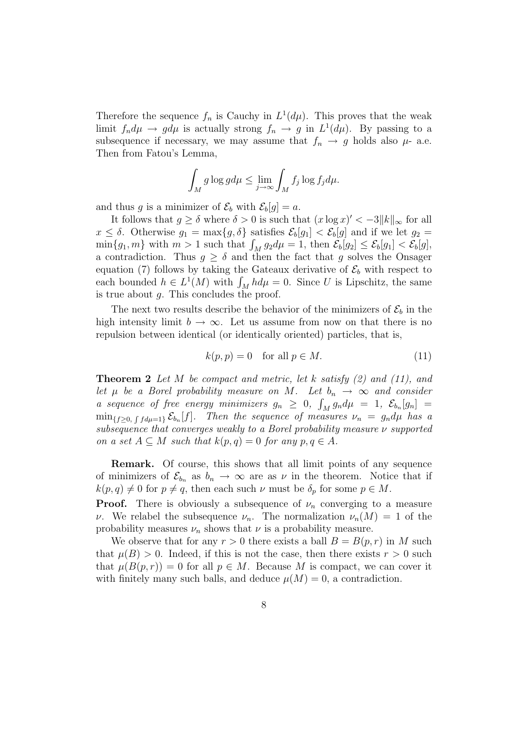Therefore the sequence  $f_n$  is Cauchy in  $L^1(d\mu)$ . This proves that the weak limit  $f_n d\mu \to g d\mu$  is actually strong  $f_n \to g$  in  $L^1(d\mu)$ . By passing to a subsequence if necessary, we may assume that  $f_n \to g$  holds also  $\mu$ - a.e. Then from Fatou's Lemma,

$$
\int_M g \log g d\mu \le \lim_{j \to \infty} \int_M f_j \log f_j d\mu.
$$

and thus g is a minimizer of  $\mathcal{E}_b$  with  $\mathcal{E}_b[g] = a$ .

It follows that  $g \ge \delta$  where  $\delta > 0$  is such that  $(x \log x)' < -3||k||_{\infty}$  for all  $x \leq \delta$ . Otherwise  $g_1 = \max\{g, \delta\}$  satisfies  $\mathcal{E}_b[g_1] < \mathcal{E}_b[g]$  and if we let  $g_2 =$  $\min\{g_1, m\}$  with  $m > 1$  such that  $\int_M g_2 d\mu = 1$ , then  $\mathcal{E}_b[g_2] \le \mathcal{E}_b[g_1] < \mathcal{E}_b[g]$ , a contradiction. Thus  $g \geq \delta$  and then the fact that g solves the Onsager equation (7) follows by taking the Gateaux derivative of  $\mathcal{E}_b$  with respect to each bounded  $h \in L^1(M)$  with  $\int_M h d\mu = 0$ . Since U is Lipschitz, the same is true about  $q$ . This concludes the proof.

The next two results describe the behavior of the minimizers of  $\mathcal{E}_b$  in the high intensity limit  $b \to \infty$ . Let us assume from now on that there is no repulsion between identical (or identically oriented) particles, that is,

$$
k(p, p) = 0 \quad \text{for all } p \in M. \tag{11}
$$

**Theorem 2** Let M be compact and metric, let k satisfy  $(2)$  and  $(11)$ , and let  $\mu$  be a Borel probability measure on M. Let  $b_n \to \infty$  and consider a sequence of free energy minimizers  $g_n \geq 0$ ,  $\int_M g_n d\mu = 1$ ,  $\mathcal{E}_{b_n}[g_n] =$  $\min_{\{f \geq 0, \int f d\mu = 1\}} \mathcal{E}_{b_n}[f].$  Then the sequence of measures  $\nu_n = g_n d\mu$  has a subsequence that converges weakly to a Borel probability measure ν supported on a set  $A \subseteq M$  such that  $k(p, q) = 0$  for any  $p, q \in A$ .

Remark. Of course, this shows that all limit points of any sequence of minimizers of  $\mathcal{E}_{b_n}$  as  $b_n \to \infty$  are as  $\nu$  in the theorem. Notice that if  $k(p, q) \neq 0$  for  $p \neq q$ , then each such  $\nu$  must be  $\delta_p$  for some  $p \in M$ .

**Proof.** There is obviously a subsequence of  $\nu_n$  converging to a measure ν. We relabel the subsequence  $\nu_n$ . The normalization  $\nu_n(M) = 1$  of the probability measures  $\nu_n$  shows that  $\nu$  is a probability measure.

We observe that for any  $r > 0$  there exists a ball  $B = B(p, r)$  in M such that  $\mu(B) > 0$ . Indeed, if this is not the case, then there exists  $r > 0$  such that  $\mu(B(p,r)) = 0$  for all  $p \in M$ . Because M is compact, we can cover it with finitely many such balls, and deduce  $\mu(M) = 0$ , a contradiction.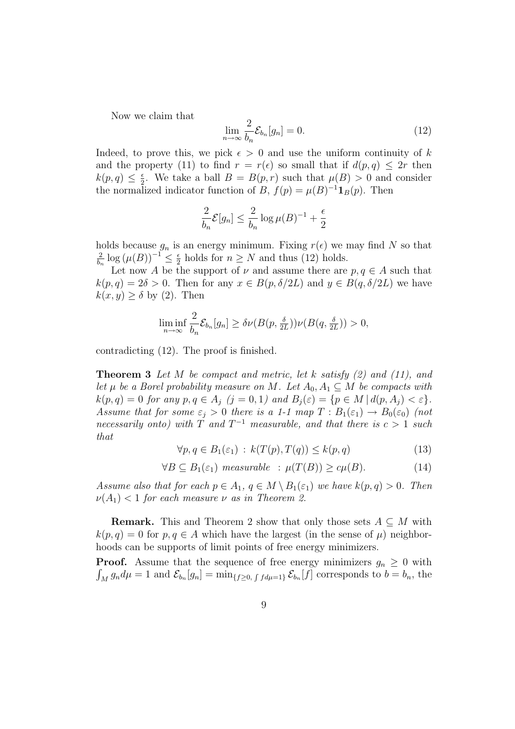Now we claim that

$$
\lim_{n \to \infty} \frac{2}{b_n} \mathcal{E}_{b_n}[g_n] = 0. \tag{12}
$$

Indeed, to prove this, we pick  $\epsilon > 0$  and use the uniform continuity of k and the property (11) to find  $r = r(\epsilon)$  so small that if  $d(p, q) \leq 2r$  then  $k(p, q) \leq \frac{\epsilon}{2}$  $\frac{\epsilon}{2}$ . We take a ball  $B = B(p,r)$  such that  $\mu(B) > 0$  and consider the normalized indicator function of B,  $f(p) = \mu(B)^{-1} \mathbf{1}_B(p)$ . Then

$$
\frac{2}{b_n} \mathcal{E}[g_n] \le \frac{2}{b_n} \log \mu(B)^{-1} + \frac{\epsilon}{2}
$$

holds because  $g_n$  is an energy minimum. Fixing  $r(\epsilon)$  we may find N so that 2  $\frac{2}{b_n} \log (\mu(B))^{-1} \leq \frac{\epsilon}{2}$  $\frac{\epsilon}{2}$  holds for  $n \geq N$  and thus (12) holds.

Let now A be the support of  $\nu$  and assume there are  $p, q \in A$  such that  $k(p,q) = 2\delta > 0$ . Then for any  $x \in B(p,\delta/2L)$  and  $y \in B(q,\delta/2L)$  we have  $k(x, y) \geq \delta$  by (2). Then

$$
\liminf_{n \to \infty} \frac{2}{b_n} \mathcal{E}_{b_n}[g_n] \ge \delta \nu(B(p, \frac{\delta}{2L})) \nu(B(q, \frac{\delta}{2L})) > 0,
$$

contradicting (12). The proof is finished.

**Theorem 3** Let M be compact and metric, let k satisfy  $(2)$  and  $(11)$ , and let  $\mu$  be a Borel probability measure on M. Let  $A_0, A_1 \subseteq M$  be compacts with  $k(p,q) = 0$  for any  $p, q \in A_j$   $(j = 0, 1)$  and  $B_j(\varepsilon) = \{p \in M \mid d(p, A_j) < \varepsilon\}.$ Assume that for some  $\varepsilon_j > 0$  there is a 1-1 map  $T : B_1(\varepsilon_1) \to B_0(\varepsilon_0)$  (not necessarily onto) with T and  $T^{-1}$  measurable, and that there is  $c > 1$  such that

$$
\forall p, q \in B_1(\varepsilon_1) : k(T(p), T(q)) \le k(p, q)
$$
\n(13)

$$
\forall B \subseteq B_1(\varepsilon_1) \; measurable \; : \; \mu(T(B)) \ge c\mu(B). \tag{14}
$$

Assume also that for each  $p \in A_1$ ,  $q \in M \setminus B_1(\varepsilon_1)$  we have  $k(p, q) > 0$ . Then  $\nu(A_1)$  < 1 for each measure  $\nu$  as in Theorem 2.

**Remark.** This and Theorem 2 show that only those sets  $A \subseteq M$  with  $k(p, q) = 0$  for  $p, q \in A$  which have the largest (in the sense of  $\mu$ ) neighborhoods can be supports of limit points of free energy minimizers.

**Proof.** Assume that the sequence of free energy minimizers  $g_n \geq 0$  with  $\int_M g_n d\mu = 1$  and  $\mathcal{E}_{b_n}[g_n] = \min_{\{f \ge 0, \int f d\mu = 1\}} \mathcal{E}_{b_n}[f]$  corresponds to  $b = b_n$ , the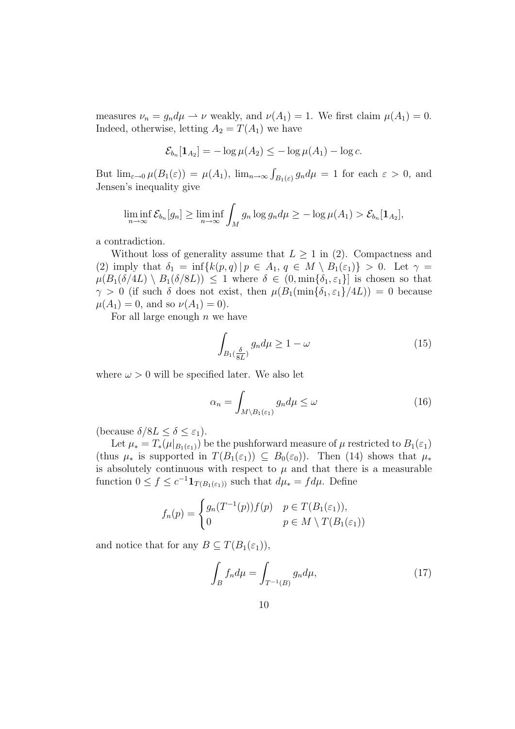measures  $\nu_n = g_n d\mu \to \nu$  weakly, and  $\nu(A_1) = 1$ . We first claim  $\mu(A_1) = 0$ . Indeed, otherwise, letting  $A_2 = T(A_1)$  we have

$$
\mathcal{E}_{b_n}[1_{A_2}]=-\log \mu(A_2)\leq -\log \mu(A_1)-\log c.
$$

But  $\lim_{\varepsilon \to 0} \mu(B_1(\varepsilon)) = \mu(A_1)$ ,  $\lim_{n \to \infty} \int_{B_1(\varepsilon)} g_n d\mu = 1$  for each  $\varepsilon > 0$ , and Jensen's inequality give

$$
\liminf_{n\to\infty} \mathcal{E}_{b_n}[g_n] \ge \liminf_{n\to\infty} \int_M g_n \log g_n d\mu \ge -\log \mu(A_1) > \mathcal{E}_{b_n}[\mathbf{1}_{A_2}],
$$

a contradiction.

Without loss of generality assume that  $L > 1$  in (2). Compactness and (2) imply that  $\delta_1 = \inf \{ k(p,q) \mid p \in A_1, q \in M \setminus B_1(\varepsilon_1) \} > 0$ . Let  $\gamma =$  $\mu(B_1(\delta/4L) \setminus B_1(\delta/8L)) \leq 1$  where  $\delta \in (0, \min{\delta_1, \epsilon_1}]$  is chosen so that  $\gamma > 0$  (if such  $\delta$  does not exist, then  $\mu(B_1(\min{\delta_1, \varepsilon_1})/4L) = 0$  because  $\mu(A_1) = 0$ , and so  $\nu(A_1) = 0$ ).

For all large enough  $n$  we have

$$
\int_{B_1(\frac{\delta}{8L})} g_n d\mu \ge 1 - \omega \tag{15}
$$

where  $\omega > 0$  will be specified later. We also let

$$
\alpha_n = \int_{M \backslash B_1(\varepsilon_1)} g_n d\mu \le \omega \tag{16}
$$

(because  $\delta/8L < \delta < \varepsilon_1$ ).

Let  $\mu_* = T_*(\mu|_{B_1(\varepsilon_1)})$  be the pushforward measure of  $\mu$  restricted to  $B_1(\varepsilon_1)$ (thus  $\mu_*$  is supported in  $T(B_1(\varepsilon_1)) \subseteq B_0(\varepsilon_0)$ ). Then (14) shows that  $\mu_*$ is absolutely continuous with respect to  $\mu$  and that there is a measurable function  $0 \le f \le c^{-1} \mathbf{1}_{T(B_1(\varepsilon_1))}$  such that  $d\mu_* = fd\mu$ . Define

$$
f_n(p) = \begin{cases} g_n(T^{-1}(p))f(p) & p \in T(B_1(\varepsilon_1)), \\ 0 & p \in M \setminus T(B_1(\varepsilon_1)) \end{cases}
$$

and notice that for any  $B \subseteq T(B_1(\varepsilon_1)),$ 

$$
\int_{B} f_n d\mu = \int_{T^{-1}(B)} g_n d\mu,\tag{17}
$$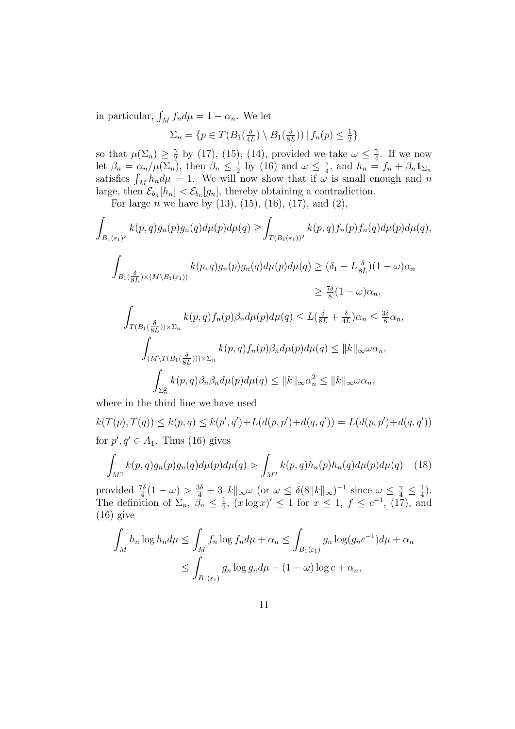in particular,  $\int_M f_n d\mu = 1 - \alpha_n$ . We let

$$
\Sigma_n = \{ p \in T(B_1(\frac{\delta}{4L}) \setminus B_1(\frac{\delta}{8L})) \mid f_n(p) \leq \frac{1}{2} \}
$$

so that  $\mu(\Sigma_n) \geq \frac{\gamma}{2}$  $\frac{\gamma}{2}$  by (17), (15), (14), provided we take  $\omega \leq \frac{\gamma}{4}$  $rac{\gamma}{4}$ . If we now let  $\beta_n = \alpha_n / \mu(\Sigma_n)$ , then  $\beta_n \leq \frac{1}{2}$  $\frac{1}{2}$  by (16) and  $\omega \leq \frac{\gamma}{4}$  $\frac{\gamma}{4}$ , and  $h_n = f_n + \beta_n \mathbf{1}_{\Sigma_n}$ satisfies  $\int_M h_n d\mu = 1$ . We will now show that if  $\omega$  is small enough and n large, then  $\mathcal{E}_{b_n}[h_n] < \mathcal{E}_{b_n}[g_n]$ , thereby obtaining a contradiction.

For large *n* we have by  $(13)$ ,  $(15)$ ,  $(16)$ ,  $(17)$ , and  $(2)$ ,

$$
\int_{B_1(\varepsilon_1)^2} k(p,q)g_n(p)g_n(q)d\mu(p)d\mu(q) \geq \int_{T(B_1(\varepsilon_1))^2} k(p,q)f_n(p)f_n(q)d\mu(p)d\mu(q),
$$

$$
\int_{B_1(\frac{\delta}{8L})\times (M\setminus B_1(\varepsilon_1))} k(p,q)g_n(p)g_n(q)d\mu(p)d\mu(q) \geq (\delta_1 - L\frac{\delta}{8L})(1 - \omega)\alpha_n
$$
  

$$
\geq \frac{7\delta}{8}(1 - \omega)\alpha_n,
$$

$$
\int_{T(B_1(\frac{\delta}{8L}))\times\Sigma_n} k(p,q)f_n(p)\beta_n d\mu(p)d\mu(q) \leq L(\frac{\delta}{8L} + \frac{\delta}{4L})\alpha_n \leq \frac{3\delta}{8}\alpha_n,
$$
  

$$
\int_{(M\backslash T(B_1(\frac{\delta}{8L})))\times\Sigma_n} k(p,q)f_n(p)\beta_n d\mu(p)d\mu(q) \leq ||k||_{\infty}\omega\alpha_n,
$$
  

$$
\int_{\Sigma_n^2} k(p,q)\beta_n\beta_n d\mu(p)d\mu(q) \leq ||k||_{\infty}\alpha_n^2 \leq ||k||_{\infty}\omega\alpha_n,
$$

where in the third line we have used

 $k(T(p), T(q)) \leq k(p, q) \leq k(p', q') + L(d(p, p') + d(q, q')) = L(d(p, p') + d(q, q'))$ for  $p, q' \in A_1$ . Thus (16) gives

$$
\int_{M^2} k(p,q)g_n(p)g_n(q)d\mu(p)d\mu(q) > \int_{M^2} k(p,q)h_n(p)h_n(q)d\mu(p)d\mu(q) \quad (18)
$$

provided  $\frac{7\delta}{4}(1-\omega) > \frac{3\delta}{4} + 3\|k\|_{\infty} \omega$  (or  $\omega \leq \delta(8\|k\|_{\infty})^{-1}$  since  $\omega \leq \frac{\gamma}{4} \leq \frac{1}{4}$  $(\frac{1}{4})$ . The definition of  $\Sigma_n$ ,  $\beta_n \leq \frac{1}{2}$  $\frac{1}{2}$ ,  $(x \log x)' \le 1$  for  $x \le 1$ ,  $f \le c^{-1}$ ,  $(17)$ , and  $(16)$  give

$$
\int_{M} h_{n} \log h_{n} d\mu \leq \int_{M} f_{n} \log f_{n} d\mu + \alpha_{n} \leq \int_{B_{1}(\varepsilon_{1})} g_{n} \log (g_{n} c^{-1}) d\mu + \alpha_{n}
$$

$$
\leq \int_{B_{1}(\varepsilon_{1})} g_{n} \log g_{n} d\mu - (1 - \omega) \log c + \alpha_{n},
$$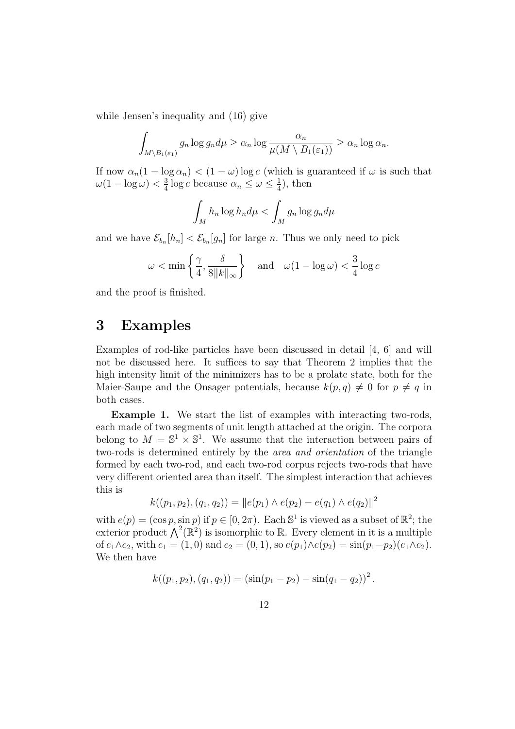while Jensen's inequality and (16) give

$$
\int_{M \setminus B_1(\varepsilon_1)} g_n \log g_n d\mu \ge \alpha_n \log \frac{\alpha_n}{\mu(M \setminus B_1(\varepsilon_1))} \ge \alpha_n \log \alpha_n.
$$

If now  $\alpha_n(1 - \log \alpha_n) < (1 - \omega) \log c$  (which is guaranteed if  $\omega$  is such that  $\omega(1-\log\omega)<\frac{3}{4}$  $\frac{3}{4}$  log *c* because  $\alpha_n \leq \omega \leq \frac{1}{4}$  $\frac{1}{4}$ , then

$$
\int_M h_n \log h_n d\mu < \int_M g_n \log g_n d\mu
$$

and we have  $\mathcal{E}_{b_n}[h_n] < \mathcal{E}_{b_n}[g_n]$  for large n. Thus we only need to pick

$$
\omega < \min\left\{\frac{\gamma}{4}, \frac{\delta}{8\|k\|_{\infty}}\right\} \quad \text{and} \quad \omega(1 - \log \omega) < \frac{3}{4}\log c
$$

and the proof is finished.

#### 3 Examples

Examples of rod-like particles have been discussed in detail [4, 6] and will not be discussed here. It suffices to say that Theorem 2 implies that the high intensity limit of the minimizers has to be a prolate state, both for the Maier-Saupe and the Onsager potentials, because  $k(p, q) \neq 0$  for  $p \neq q$  in both cases.

Example 1. We start the list of examples with interacting two-rods, each made of two segments of unit length attached at the origin. The corpora belong to  $M = \mathbb{S}^1 \times \mathbb{S}^1$ . We assume that the interaction between pairs of two-rods is determined entirely by the area and orientation of the triangle formed by each two-rod, and each two-rod corpus rejects two-rods that have very different oriented area than itself. The simplest interaction that achieves this is

$$
k((p_1, p_2), (q_1, q_2)) = ||e(p_1) \wedge e(p_2) - e(q_1) \wedge e(q_2)||^2
$$

with  $e(p) = (\cos p, \sin p)$  if  $p \in [0, 2\pi)$ . Each  $\mathbb{S}^1$  is viewed as a subset of  $\mathbb{R}^2$ ; the exterior product  $\bigwedge^2(\mathbb{R}^2)$  is isomorphic to  $\mathbb R$ . Every element in it is a multiple of  $e_1 \wedge e_2$ , with  $e_1 = (1, 0)$  and  $e_2 = (0, 1)$ , so  $e(p_1) \wedge e(p_2) = \sin(p_1 - p_2)(e_1 \wedge e_2)$ . We then have

$$
k((p_1, p_2), (q_1, q_2)) = (\sin(p_1 - p_2) - \sin(q_1 - q_2))^2.
$$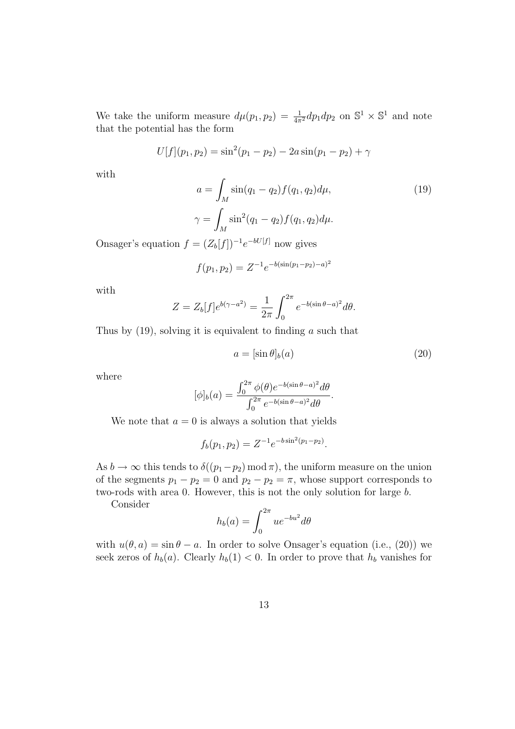We take the uniform measure  $d\mu(p_1, p_2) = \frac{1}{4\pi^2} dp_1 dp_2$  on  $\mathbb{S}^1 \times \mathbb{S}^1$  and note that the potential has the form

$$
U[f](p_1, p_2) = \sin^2(p_1 - p_2) - 2a\sin(p_1 - p_2) + \gamma
$$

with

$$
a = \int_{M} \sin(q_1 - q_2) f(q_1, q_2) d\mu,
$$
  

$$
\gamma = \int_{M} \sin^2(q_1 - q_2) f(q_1, q_2) d\mu.
$$
  

$$
(7.52) \quad 1 \quad W^{[f]}
$$

Onsager's equation  $f = (Z_b[f])^{-1}e^{-bU[f]}$  now gives

$$
f(p_1, p_2) = Z^{-1} e^{-b(\sin(p_1 - p_2) - a)^2}
$$

with

$$
Z = Z_b[f]e^{b(\gamma - a^2)} = \frac{1}{2\pi} \int_0^{2\pi} e^{-b(\sin \theta - a)^2} d\theta.
$$

Thus by  $(19)$ , solving it is equivalent to finding a such that

$$
a = [\sin \theta]_b(a) \tag{20}
$$

where

$$
[\phi]_b(a) = \frac{\int_0^{2\pi} \phi(\theta) e^{-b(\sin \theta - a)^2} d\theta}{\int_0^{2\pi} e^{-b(\sin \theta - a)^2} d\theta}.
$$

We note that  $a = 0$  is always a solution that yields

$$
f_b(p_1, p_2) = Z^{-1} e^{-b \sin^2(p_1 - p_2)}.
$$

As  $b \to \infty$  this tends to  $\delta((p_1-p_2) \mod \pi)$ , the uniform measure on the union of the segments  $p_1 - p_2 = 0$  and  $p_2 - p_2 = \pi$ , whose support corresponds to two-rods with area 0. However, this is not the only solution for large b.

Consider

$$
h_b(a) = \int_0^{2\pi} ue^{-bu^2} d\theta
$$

with  $u(\theta, a) = \sin \theta - a$ . In order to solve Onsager's equation (i.e., (20)) we seek zeros of  $h_b(a)$ . Clearly  $h_b(1) < 0$ . In order to prove that  $h_b$  vanishes for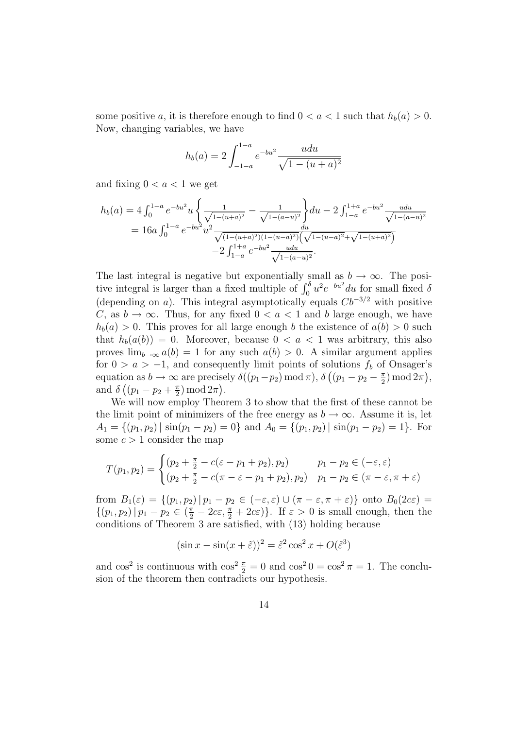some positive a, it is therefore enough to find  $0 < a < 1$  such that  $h_b(a) > 0$ . Now, changing variables, we have

$$
h_b(a) = 2 \int_{-1-a}^{1-a} e^{-bu^2} \frac{udu}{\sqrt{1 - (u+a)^2}}
$$

and fixing  $0 < a < 1$  we get

$$
h_b(a) = 4 \int_0^{1-a} e^{-bu^2} u \left\{ \frac{1}{\sqrt{1-(u+a)^2}} - \frac{1}{\sqrt{1-(a-u)^2}} \right\} du - 2 \int_{1-a}^{1+a} e^{-bu^2} \frac{u du}{\sqrt{1-(a-u)^2}} = 16a \int_0^{1-a} e^{-bu^2} u^2 \frac{du}{\sqrt{(1-(u+a)^2)(1-(u-a)^2)} \left(\sqrt{1-(u-a)^2} + \sqrt{1-(u+a)^2}\right)} - 2 \int_{1-a}^{1+a} e^{-bu^2} \frac{u du}{\sqrt{1-(a-u)^2}}.
$$

The last integral is negative but exponentially small as  $b \to \infty$ . The positive integral is larger than a fixed multiple of  $\int_0^{\delta} u^2 e^{-bu^2} du$  for small fixed  $\delta$ (depending on a). This integral asymptotically equals  $Cb^{-3/2}$  with positive C, as  $b \to \infty$ . Thus, for any fixed  $0 < a < 1$  and b large enough, we have  $h_b(a) > 0$ . This proves for all large enough b the existence of  $a(b) > 0$  such that  $h_b(a(b)) = 0$ . Moreover, because  $0 < a < 1$  was arbitrary, this also proves  $\lim_{b\to\infty} a(b) = 1$  for any such  $a(b) > 0$ . A similar argument applies for  $0 > a > -1$ , and consequently limit points of solutions  $f<sub>b</sub>$  of Onsager's equation as  $b \to \infty$  are precisely  $\delta((p_1-p_2) \mod \pi)$ ,  $\delta((p_1-p_2-\frac{\pi}{2})$  $(\frac{\pi}{2}) \mod 2\pi$ , and  $\delta\left((p_1-p_2+\frac{\pi}{2})\right)$  $(\frac{\pi}{2}) \mod 2\pi$ .

We will now employ Theorem 3 to show that the first of these cannot be the limit point of minimizers of the free energy as  $b \to \infty$ . Assume it is, let  $A_1 = \{(p_1, p_2) | \sin(p_1 - p_2) = 0\}$  and  $A_0 = \{(p_1, p_2) | \sin(p_1 - p_2) = 1\}$ . For some  $c > 1$  consider the map

$$
T(p_1, p_2) = \begin{cases} (p_2 + \frac{\pi}{2} - c(\varepsilon - p_1 + p_2), p_2) & p_1 - p_2 \in (-\varepsilon, \varepsilon) \\ (p_2 + \frac{\pi}{2} - c(\pi - \varepsilon - p_1 + p_2), p_2) & p_1 - p_2 \in (\pi - \varepsilon, \pi + \varepsilon) \end{cases}
$$

from  $B_1(\varepsilon) = \{(p_1, p_2) | p_1 - p_2 \in (-\varepsilon, \varepsilon) \cup (\pi - \varepsilon, \pi + \varepsilon)\}\$ onto  $B_0(2c\varepsilon) =$  $\{(p_1, p_2) | p_1 - p_2 \in (\frac{\pi}{2} - 2c\varepsilon, \frac{\pi}{2} + 2c\varepsilon)\}\.$  If  $\varepsilon > 0$  is small enough, then the conditions of Theorem 3 are satisfied, with (13) holding because

$$
(\sin x - \sin(x + \tilde{\varepsilon}))^2 = \tilde{\varepsilon}^2 \cos^2 x + O(\tilde{\varepsilon}^3)
$$

and  $\cos^2$  is continuous with  $\cos^2 \frac{\pi}{2} = 0$  and  $\cos^2 0 = \cos^2 \pi = 1$ . The conclusion of the theorem then contradicts our hypothesis.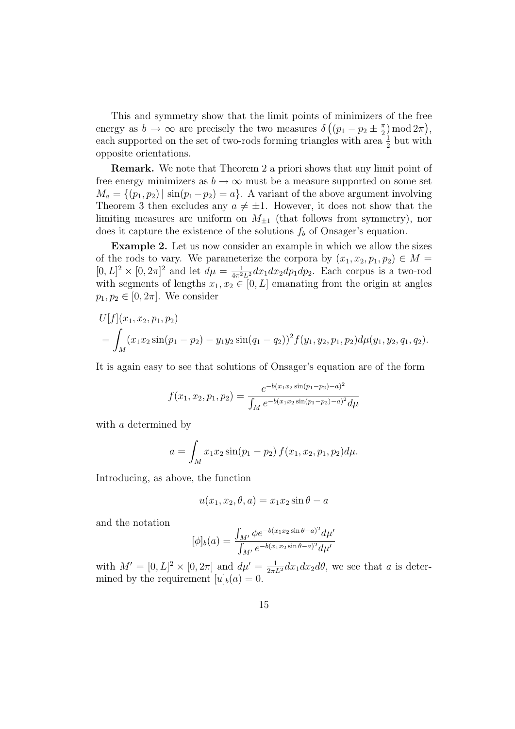This and symmetry show that the limit points of minimizers of the free energy as  $b \to \infty$  are precisely the two measures  $\delta \left( (p_1 - p_2 \pm \frac{\pi}{2}) \right)$  $(\frac{\pi}{2}) \mod 2\pi$ , each supported on the set of two-rods forming triangles with area  $\frac{1}{2}$  but with opposite orientations.

Remark. We note that Theorem 2 a priori shows that any limit point of free energy minimizers as  $b \to \infty$  must be a measure supported on some set  $M_a = \{(p_1, p_2) | \sin(p_1-p_2) = a\}.$  A variant of the above argument involving Theorem 3 then excludes any  $a \neq \pm 1$ . However, it does not show that the limiting measures are uniform on  $M_{\pm 1}$  (that follows from symmetry), nor does it capture the existence of the solutions  $f_b$  of Onsager's equation.

Example 2. Let us now consider an example in which we allow the sizes of the rods to vary. We parameterize the corpora by  $(x_1, x_2, p_1, p_2) \in M =$  $[0,L]^2 \times [0,2\pi]^2$  and let  $d\mu = \frac{1}{4\pi^2 L^2} dx_1 dx_2 dp_1 dp_2$ . Each corpus is a two-rod with segments of lengths  $x_1, x_2 \in [0, L]$  emanating from the origin at angles  $p_1, p_2 \in [0, 2\pi]$ . We consider

$$
U[f](x_1, x_2, p_1, p_2)
$$
  
=  $\int_M (x_1x_2 \sin(p_1 - p_2) - y_1y_2 \sin(q_1 - q_2))^2 f(y_1, y_2, p_1, p_2) d\mu(y_1, y_2, q_1, q_2).$ 

It is again easy to see that solutions of Onsager's equation are of the form

$$
f(x_1, x_2, p_1, p_2) = \frac{e^{-b(x_1x_2\sin(p_1-p_2)-a)^2}}{\int_M e^{-b(x_1x_2\sin(p_1-p_2)-a)^2}d\mu}
$$

with a determined by

$$
a = \int_M x_1 x_2 \sin(p_1 - p_2) f(x_1, x_2, p_1, p_2) d\mu.
$$

Introducing, as above, the function

$$
u(x_1, x_2, \theta, a) = x_1 x_2 \sin \theta - a
$$

and the notation

$$
[\phi]_b(a) = \frac{\int_{M'} \phi e^{-b(x_1 x_2 \sin \theta - a)^2} d\mu'}{\int_{M'} e^{-b(x_1 x_2 \sin \theta - a)^2} d\mu'}
$$

with  $M' = [0, L]^2 \times [0, 2\pi]$  and  $d\mu' = \frac{1}{2\pi L^2} dx_1 dx_2 d\theta$ , we see that a is determined by the requirement  $[u]_b(a) = 0$ .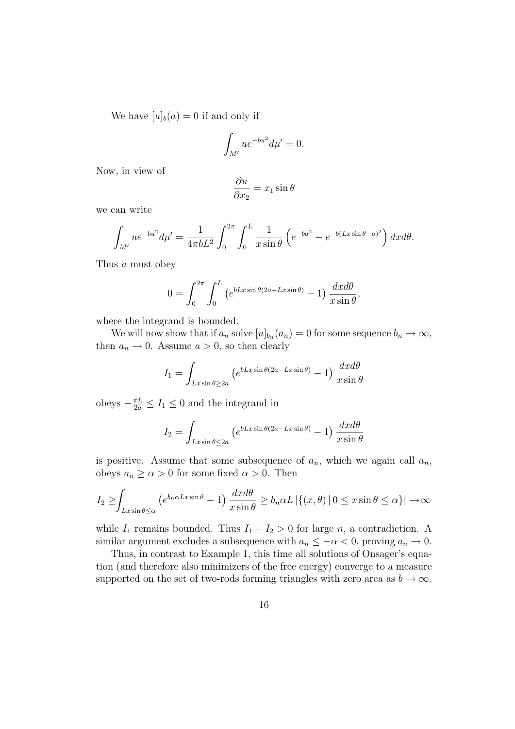We have  $[u]_b(a) = 0$  if and only if

$$
\int_{M'} u e^{-bu^2} d\mu' = 0.
$$

Now, in view of

$$
\frac{\partial u}{\partial x_2} = x_1 \sin \theta
$$

we can write

$$
\int_{M'} u e^{-bu^2} d\mu' = \frac{1}{4\pi b L^2} \int_0^{2\pi} \int_0^L \frac{1}{x \sin \theta} \left( e^{-ba^2} - e^{-b(Lx \sin \theta - a)^2} \right) dx d\theta.
$$

Thus a must obey

$$
0 = \int_0^{2\pi} \int_0^L \left( e^{bLx \sin \theta (2a - Lx \sin \theta)} - 1 \right) \frac{dx d\theta}{x \sin \theta},
$$

where the integrand is bounded.

We will now show that if  $a_n$  solve  $[u]_{b_n}(a_n) = 0$  for some sequence  $b_n \to \infty$ , then  $a_n \to 0$ . Assume  $a > 0$ , so then clearly

$$
I_1 = \int_{Lx\sin\theta \ge 2a} \left( e^{bLx\sin\theta(2a - Lx\sin\theta)} - 1 \right) \frac{dx d\theta}{x\sin\theta}
$$

obeys  $-\frac{\pi L}{2a} \le I_1 \le 0$  and the integrand in

$$
I_2 = \int_{Lx\sin\theta \le 2a} \left( e^{bLx\sin\theta(2a - Lx\sin\theta)} - 1 \right) \frac{dx d\theta}{x\sin\theta}
$$

is positive. Assume that some subsequence of  $a_n$ , which we again call  $a_n$ , obeys  $a_n \ge \alpha > 0$  for some fixed  $\alpha > 0$ . Then

$$
I_2 \ge \int_{Lx\sin\theta \le \alpha} \left( e^{b_n \alpha Lx \sin\theta} - 1 \right) \frac{dx d\theta}{x \sin \theta} \ge b_n \alpha L \left| \left\{ (x, \theta) \, | \, 0 \le x \sin \theta \le \alpha \right\} \right| \to \infty
$$

while  $I_1$  remains bounded. Thus  $I_1 + I_2 > 0$  for large n, a contradiction. A similar argument excludes a subsequence with  $a_n \leq -\alpha < 0$ , proving  $a_n \to 0$ .

Thus, in contrast to Example 1, this time all solutions of Onsager's equation (and therefore also minimizers of the free energy) converge to a measure supported on the set of two-rods forming triangles with zero area as  $b \to \infty$ .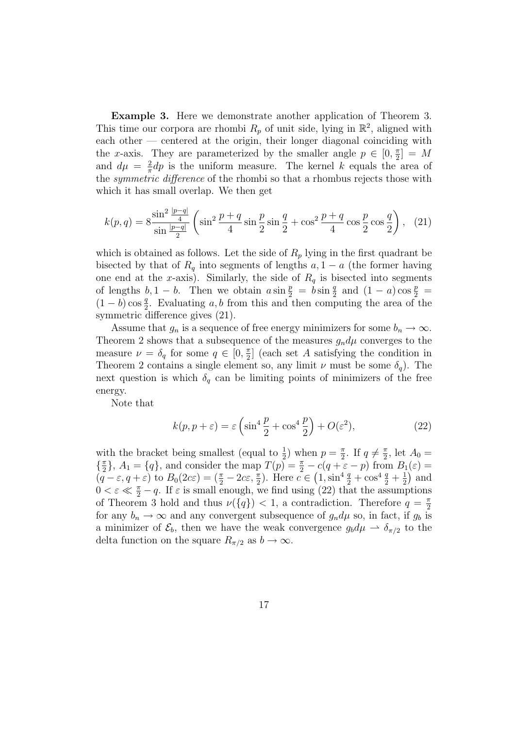Example 3. Here we demonstrate another application of Theorem 3. This time our corpora are rhombi  $R_p$  of unit side, lying in  $\mathbb{R}^2$ , aligned with each other — centered at the origin, their longer diagonal coinciding with the x-axis. They are parameterized by the smaller angle  $p \in [0, \frac{\pi}{2}]$  $\frac{\pi}{2}$  = M and  $d\mu = \frac{2}{\pi}$  $\frac{2}{\pi}dp$  is the uniform measure. The kernel k equals the area of the *symmetric difference* of the rhombi so that a rhombus rejects those with which it has small overlap. We then get

$$
k(p,q) = 8 \frac{\sin^2 \frac{|p-q|}{4}}{\sin \frac{|p-q|}{2}} \left( \sin^2 \frac{p+q}{4} \sin \frac{p}{2} \sin \frac{q}{2} + \cos^2 \frac{p+q}{4} \cos \frac{p}{2} \cos \frac{q}{2} \right), (21)
$$

which is obtained as follows. Let the side of  $R_p$  lying in the first quadrant be bisected by that of  $R_q$  into segments of lengths  $a, 1 - a$  (the former having one end at the x-axis). Similarly, the side of  $R_q$  is bisected into segments of lengths  $b, 1 - b$ . Then we obtain  $a \sin \frac{p}{2} = b \sin \frac{q}{2}$  and  $(1 - a) \cos \frac{p}{2} =$  $(1-b)\cos\frac{q}{2}$ . Evaluating a, b from this and then computing the area of the symmetric difference gives (21).

Assume that  $g_n$  is a sequence of free energy minimizers for some  $b_n \to \infty$ . Theorem 2 shows that a subsequence of the measures  $g_n d\mu$  converges to the measure  $\nu = \delta_q$  for some  $q \in [0, \frac{\pi}{2}]$  $\frac{\pi}{2}$  (each set A satisfying the condition in Theorem 2 contains a single element so, any limit  $\nu$  must be some  $\delta_q$ ). The next question is which  $\delta_q$  can be limiting points of minimizers of the free energy.

Note that

$$
k(p, p + \varepsilon) = \varepsilon \left( \sin^4 \frac{p}{2} + \cos^4 \frac{p}{2} \right) + O(\varepsilon^2),\tag{22}
$$

with the bracket being smallest (equal to  $\frac{1}{2}$ ) when  $p = \frac{\pi}{2}$  $\frac{\pi}{2}$ . If  $q \neq \frac{\pi}{2}$  $\frac{\pi}{2}$ , let  $A_0 =$  $\left\{\frac{\pi}{2}\right\}$  $\{\fracpi}{2}\}, A_1 = \{q\}, \text{ and consider the map } T(p) = \frac{\pi}{2} - c(q + \varepsilon - p) \text{ from } B_1(\varepsilon) =$  $(q - \varepsilon, q + \varepsilon)$  to  $B_0(2c\varepsilon) = (\frac{\pi}{2} - 2c\varepsilon, \frac{\pi}{2})$ . Here  $c \in (1, \sin^4 \frac{q}{2} + \cos^4 \frac{q}{2} + \frac{1}{2})$  $(\frac{1}{2})$  and  $0 < \varepsilon \ll \frac{\pi}{2} - q$ . If  $\varepsilon$  is small enough, we find using (22) that the assumptions of Theorem 3 hold and thus  $\nu({q}) < 1$ , a contradiction. Therefore  $q = \frac{\pi}{2}$ 2 for any  $b_n \to \infty$  and any convergent subsequence of  $g_n d\mu$  so, in fact, if  $g_b$  is a minimizer of  $\mathcal{E}_b$ , then we have the weak convergence  $g_b d\mu \rightharpoonup \delta_{\pi/2}$  to the delta function on the square  $R_{\pi/2}$  as  $b \to \infty$ .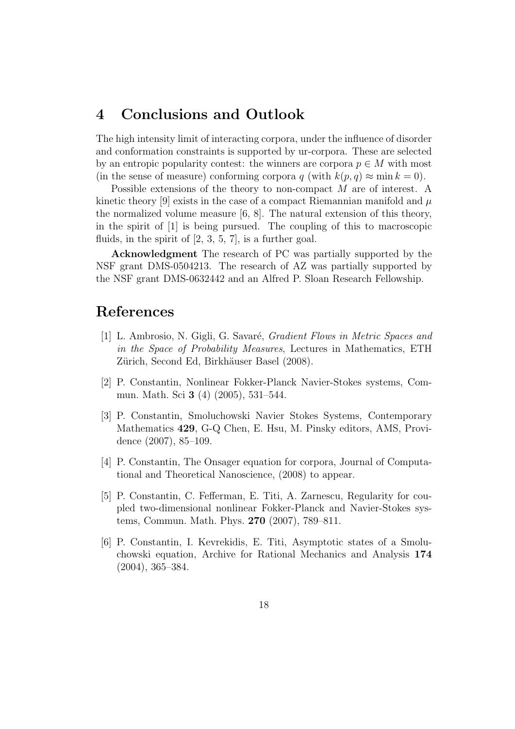# 4 Conclusions and Outlook

The high intensity limit of interacting corpora, under the influence of disorder and conformation constraints is supported by ur-corpora. These are selected by an entropic popularity contest: the winners are corpora  $p \in M$  with most (in the sense of measure) conforming corpora q (with  $k(p, q) \approx \min k = 0$ ).

Possible extensions of the theory to non-compact M are of interest. A kinetic theory [9] exists in the case of a compact Riemannian manifold and  $\mu$ the normalized volume measure [6, 8]. The natural extension of this theory, in the spirit of [1] is being pursued. The coupling of this to macroscopic fluids, in the spirit of  $[2, 3, 5, 7]$ , is a further goal.

Acknowledgment The research of PC was partially supported by the NSF grant DMS-0504213. The research of AZ was partially supported by the NSF grant DMS-0632442 and an Alfred P. Sloan Research Fellowship.

## References

- [1] L. Ambrosio, N. Gigli, G. Savaré, *Gradient Flows in Metric Spaces and* in the Space of Probability Measures, Lectures in Mathematics, ETH Zürich, Second Ed, Birkhäuser Basel (2008).
- [2] P. Constantin, Nonlinear Fokker-Planck Navier-Stokes systems, Commun. Math. Sci 3 (4) (2005), 531–544.
- [3] P. Constantin, Smoluchowski Navier Stokes Systems, Contemporary Mathematics 429, G-Q Chen, E. Hsu, M. Pinsky editors, AMS, Providence (2007), 85–109.
- [4] P. Constantin, The Onsager equation for corpora, Journal of Computational and Theoretical Nanoscience, (2008) to appear.
- [5] P. Constantin, C. Fefferman, E. Titi, A. Zarnescu, Regularity for coupled two-dimensional nonlinear Fokker-Planck and Navier-Stokes systems, Commun. Math. Phys. 270 (2007), 789–811.
- [6] P. Constantin, I. Kevrekidis, E. Titi, Asymptotic states of a Smoluchowski equation, Archive for Rational Mechanics and Analysis 174 (2004), 365–384.